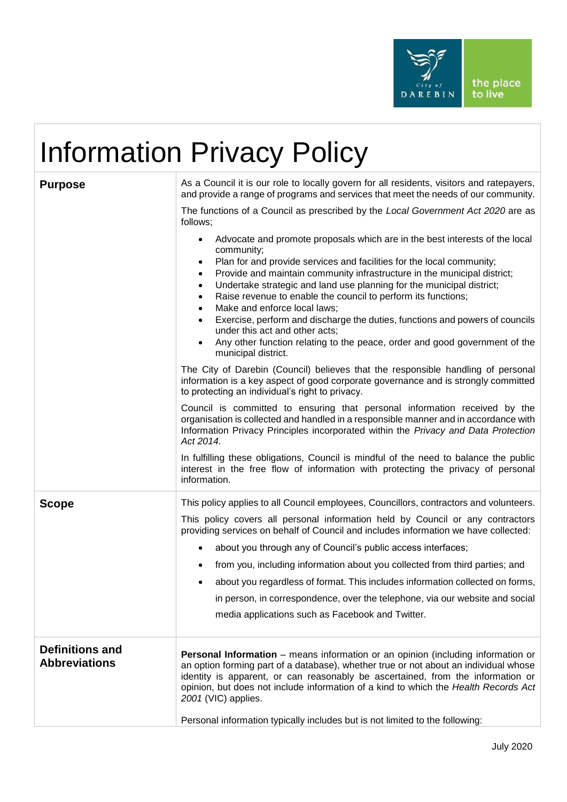

## Information Privacy Policy

| <b>Purpose</b>                                 | As a Council it is our role to locally govern for all residents, visitors and ratepayers,<br>and provide a range of programs and services that meet the needs of our community.<br>The functions of a Council as prescribed by the Local Government Act 2020 are as<br>follows;<br>Advocate and promote proposals which are in the best interests of the local<br>community;<br>Plan for and provide services and facilities for the local community;<br>$\bullet$<br>Provide and maintain community infrastructure in the municipal district;<br>$\bullet$<br>Undertake strategic and land use planning for the municipal district;<br>$\bullet$<br>Raise revenue to enable the council to perform its functions;<br>$\bullet$<br>Make and enforce local laws;<br>$\bullet$<br>Exercise, perform and discharge the duties, functions and powers of councils<br>$\bullet$ |
|------------------------------------------------|---------------------------------------------------------------------------------------------------------------------------------------------------------------------------------------------------------------------------------------------------------------------------------------------------------------------------------------------------------------------------------------------------------------------------------------------------------------------------------------------------------------------------------------------------------------------------------------------------------------------------------------------------------------------------------------------------------------------------------------------------------------------------------------------------------------------------------------------------------------------------|
|                                                | under this act and other acts;<br>Any other function relating to the peace, order and good government of the<br>$\bullet$<br>municipal district.                                                                                                                                                                                                                                                                                                                                                                                                                                                                                                                                                                                                                                                                                                                          |
|                                                | The City of Darebin (Council) believes that the responsible handling of personal<br>information is a key aspect of good corporate governance and is strongly committed<br>to protecting an individual's right to privacy.                                                                                                                                                                                                                                                                                                                                                                                                                                                                                                                                                                                                                                                 |
|                                                | Council is committed to ensuring that personal information received by the<br>organisation is collected and handled in a responsible manner and in accordance with<br>Information Privacy Principles incorporated within the Privacy and Data Protection<br>Act 2014.                                                                                                                                                                                                                                                                                                                                                                                                                                                                                                                                                                                                     |
|                                                | In fulfilling these obligations, Council is mindful of the need to balance the public<br>interest in the free flow of information with protecting the privacy of personal<br>information.                                                                                                                                                                                                                                                                                                                                                                                                                                                                                                                                                                                                                                                                                 |
| <b>Scope</b>                                   | This policy applies to all Council employees, Councillors, contractors and volunteers.<br>This policy covers all personal information held by Council or any contractors<br>providing services on behalf of Council and includes information we have collected:<br>about you through any of Council's public access interfaces;<br>$\bullet$                                                                                                                                                                                                                                                                                                                                                                                                                                                                                                                              |
|                                                | from you, including information about you collected from third parties; and                                                                                                                                                                                                                                                                                                                                                                                                                                                                                                                                                                                                                                                                                                                                                                                               |
|                                                | about you regardless of format. This includes information collected on forms,<br>in person, in correspondence, over the telephone, via our website and social<br>media applications such as Facebook and Twitter.                                                                                                                                                                                                                                                                                                                                                                                                                                                                                                                                                                                                                                                         |
| <b>Definitions and</b><br><b>Abbreviations</b> | <b>Personal Information</b> – means information or an opinion (including information or<br>an option forming part of a database), whether true or not about an individual whose<br>identity is apparent, or can reasonably be ascertained, from the information or<br>opinion, but does not include information of a kind to which the Health Records Act<br>2001 (VIC) applies.                                                                                                                                                                                                                                                                                                                                                                                                                                                                                          |
|                                                | Personal information typically includes but is not limited to the following:                                                                                                                                                                                                                                                                                                                                                                                                                                                                                                                                                                                                                                                                                                                                                                                              |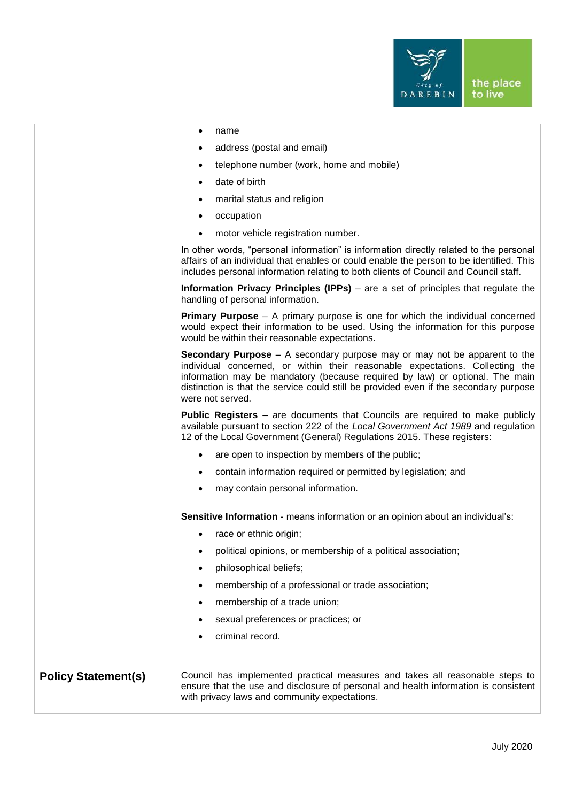

|                            | name<br>٠                                                                                                                                                                                                                                                                                                                                                        |
|----------------------------|------------------------------------------------------------------------------------------------------------------------------------------------------------------------------------------------------------------------------------------------------------------------------------------------------------------------------------------------------------------|
|                            | address (postal and email)                                                                                                                                                                                                                                                                                                                                       |
|                            | telephone number (work, home and mobile)<br>$\bullet$                                                                                                                                                                                                                                                                                                            |
|                            | date of birth<br>$\bullet$                                                                                                                                                                                                                                                                                                                                       |
|                            | marital status and religion<br>$\bullet$                                                                                                                                                                                                                                                                                                                         |
|                            | occupation<br>$\bullet$                                                                                                                                                                                                                                                                                                                                          |
|                            | motor vehicle registration number.                                                                                                                                                                                                                                                                                                                               |
|                            | In other words, "personal information" is information directly related to the personal<br>affairs of an individual that enables or could enable the person to be identified. This<br>includes personal information relating to both clients of Council and Council staff.                                                                                        |
|                            | <b>Information Privacy Principles (IPPs)</b> – are a set of principles that regulate the<br>handling of personal information.                                                                                                                                                                                                                                    |
|                            | <b>Primary Purpose</b> $-$ A primary purpose is one for which the individual concerned<br>would expect their information to be used. Using the information for this purpose<br>would be within their reasonable expectations.                                                                                                                                    |
|                            | <b>Secondary Purpose</b> $-$ A secondary purpose may or may not be apparent to the<br>individual concerned, or within their reasonable expectations. Collecting the<br>information may be mandatory (because required by law) or optional. The main<br>distinction is that the service could still be provided even if the secondary purpose<br>were not served. |
|                            | <b>Public Registers</b> – are documents that Councils are required to make publicly<br>available pursuant to section 222 of the Local Government Act 1989 and regulation<br>12 of the Local Government (General) Regulations 2015. These registers:                                                                                                              |
|                            | are open to inspection by members of the public;<br>٠                                                                                                                                                                                                                                                                                                            |
|                            | contain information required or permitted by legislation; and<br>$\bullet$                                                                                                                                                                                                                                                                                       |
|                            | may contain personal information.                                                                                                                                                                                                                                                                                                                                |
|                            | Sensitive Information - means information or an opinion about an individual's:                                                                                                                                                                                                                                                                                   |
|                            | race or ethnic origin;<br>$\bullet$                                                                                                                                                                                                                                                                                                                              |
|                            | political opinions, or membership of a political association;                                                                                                                                                                                                                                                                                                    |
|                            | philosophical beliefs;<br>$\bullet$                                                                                                                                                                                                                                                                                                                              |
|                            | membership of a professional or trade association;                                                                                                                                                                                                                                                                                                               |
|                            | membership of a trade union;<br>٠                                                                                                                                                                                                                                                                                                                                |
|                            | sexual preferences or practices; or                                                                                                                                                                                                                                                                                                                              |
|                            | criminal record.                                                                                                                                                                                                                                                                                                                                                 |
| <b>Policy Statement(s)</b> | Council has implemented practical measures and takes all reasonable steps to<br>ensure that the use and disclosure of personal and health information is consistent<br>with privacy laws and community expectations.                                                                                                                                             |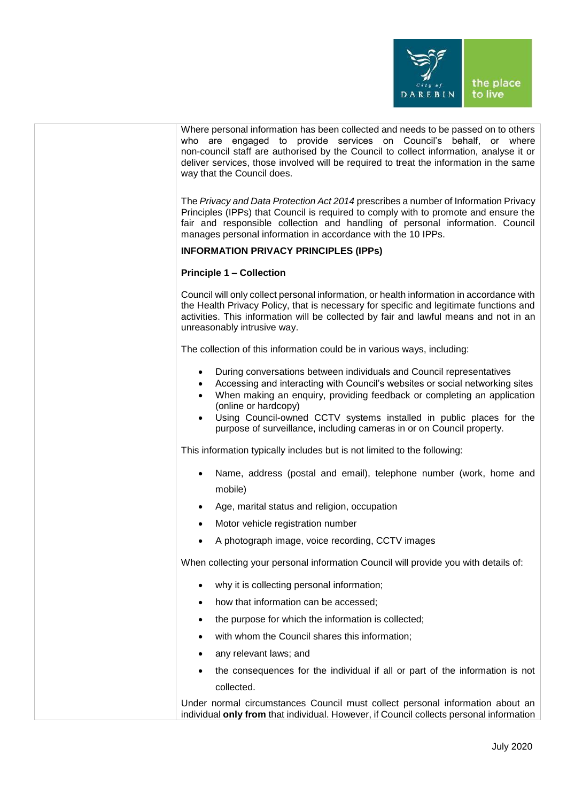

| Where personal information has been collected and needs to be passed on to others<br>who are engaged to provide services on Council's behalf, or where<br>non-council staff are authorised by the Council to collect information, analyse it or<br>deliver services, those involved will be required to treat the information in the same<br>way that the Council does.                                                                |  |
|----------------------------------------------------------------------------------------------------------------------------------------------------------------------------------------------------------------------------------------------------------------------------------------------------------------------------------------------------------------------------------------------------------------------------------------|--|
| The Privacy and Data Protection Act 2014 prescribes a number of Information Privacy<br>Principles (IPPs) that Council is required to comply with to promote and ensure the<br>fair and responsible collection and handling of personal information. Council<br>manages personal information in accordance with the 10 IPPs.                                                                                                            |  |
| <b>INFORMATION PRIVACY PRINCIPLES (IPPS)</b>                                                                                                                                                                                                                                                                                                                                                                                           |  |
| <b>Principle 1 - Collection</b>                                                                                                                                                                                                                                                                                                                                                                                                        |  |
| Council will only collect personal information, or health information in accordance with<br>the Health Privacy Policy, that is necessary for specific and legitimate functions and<br>activities. This information will be collected by fair and lawful means and not in an<br>unreasonably intrusive way.                                                                                                                             |  |
| The collection of this information could be in various ways, including:                                                                                                                                                                                                                                                                                                                                                                |  |
| During conversations between individuals and Council representatives<br>٠<br>Accessing and interacting with Council's websites or social networking sites<br>When making an enquiry, providing feedback or completing an application<br>$\bullet$<br>(online or hardcopy)<br>Using Council-owned CCTV systems installed in public places for the<br>$\bullet$<br>purpose of surveillance, including cameras in or on Council property. |  |
| This information typically includes but is not limited to the following:                                                                                                                                                                                                                                                                                                                                                               |  |
| Name, address (postal and email), telephone number (work, home and<br>mobile)                                                                                                                                                                                                                                                                                                                                                          |  |
| Age, marital status and religion, occupation                                                                                                                                                                                                                                                                                                                                                                                           |  |
| Motor vehicle registration number<br>$\bullet$                                                                                                                                                                                                                                                                                                                                                                                         |  |
| A photograph image, voice recording, CCTV images                                                                                                                                                                                                                                                                                                                                                                                       |  |
| When collecting your personal information Council will provide you with details of:                                                                                                                                                                                                                                                                                                                                                    |  |
| why it is collecting personal information;<br>٠                                                                                                                                                                                                                                                                                                                                                                                        |  |
| how that information can be accessed;<br>٠                                                                                                                                                                                                                                                                                                                                                                                             |  |
| the purpose for which the information is collected;<br>٠                                                                                                                                                                                                                                                                                                                                                                               |  |
| with whom the Council shares this information;<br>٠                                                                                                                                                                                                                                                                                                                                                                                    |  |
| any relevant laws; and<br>٠                                                                                                                                                                                                                                                                                                                                                                                                            |  |
| the consequences for the individual if all or part of the information is not<br>٠                                                                                                                                                                                                                                                                                                                                                      |  |
| collected.                                                                                                                                                                                                                                                                                                                                                                                                                             |  |
| Under normal circumstances Council must collect personal information about an<br>individual only from that individual. However, if Council collects personal information                                                                                                                                                                                                                                                               |  |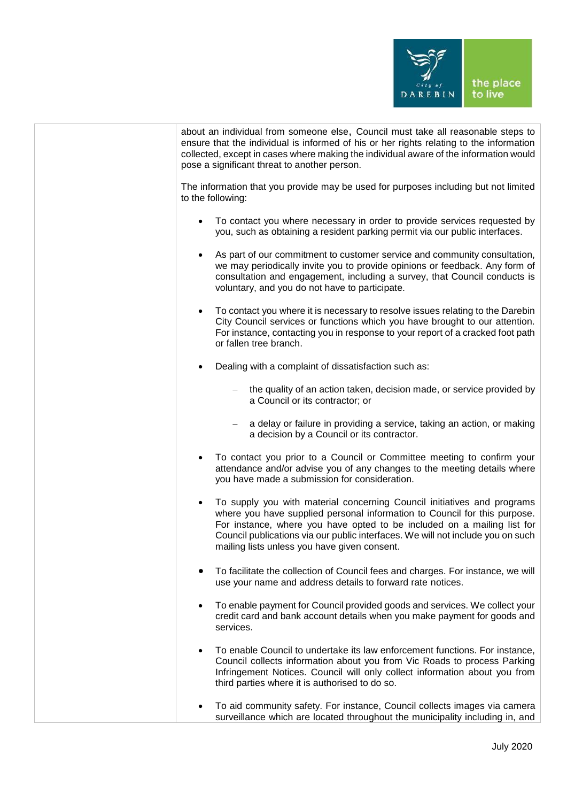

| about an individual from someone else, Council must take all reasonable steps to<br>ensure that the individual is informed of his or her rights relating to the information<br>collected, except in cases where making the individual aware of the information would<br>pose a significant threat to another person.                                                            |  |
|---------------------------------------------------------------------------------------------------------------------------------------------------------------------------------------------------------------------------------------------------------------------------------------------------------------------------------------------------------------------------------|--|
| The information that you provide may be used for purposes including but not limited<br>to the following:                                                                                                                                                                                                                                                                        |  |
| To contact you where necessary in order to provide services requested by<br>you, such as obtaining a resident parking permit via our public interfaces.                                                                                                                                                                                                                         |  |
| As part of our commitment to customer service and community consultation,<br>we may periodically invite you to provide opinions or feedback. Any form of<br>consultation and engagement, including a survey, that Council conducts is<br>voluntary, and you do not have to participate.                                                                                         |  |
| To contact you where it is necessary to resolve issues relating to the Darebin<br>$\bullet$<br>City Council services or functions which you have brought to our attention.<br>For instance, contacting you in response to your report of a cracked foot path<br>or fallen tree branch.                                                                                          |  |
| Dealing with a complaint of dissatisfaction such as:                                                                                                                                                                                                                                                                                                                            |  |
| the quality of an action taken, decision made, or service provided by<br>a Council or its contractor; or                                                                                                                                                                                                                                                                        |  |
| a delay or failure in providing a service, taking an action, or making<br>a decision by a Council or its contractor.                                                                                                                                                                                                                                                            |  |
| To contact you prior to a Council or Committee meeting to confirm your<br>attendance and/or advise you of any changes to the meeting details where<br>you have made a submission for consideration.                                                                                                                                                                             |  |
| To supply you with material concerning Council initiatives and programs<br>$\bullet$<br>where you have supplied personal information to Council for this purpose.<br>For instance, where you have opted to be included on a mailing list for<br>Council publications via our public interfaces. We will not include you on such<br>mailing lists unless you have given consent. |  |
| To facilitate the collection of Council fees and charges. For instance, we will<br>use your name and address details to forward rate notices.                                                                                                                                                                                                                                   |  |
| To enable payment for Council provided goods and services. We collect your<br>$\bullet$<br>credit card and bank account details when you make payment for goods and<br>services.                                                                                                                                                                                                |  |
| To enable Council to undertake its law enforcement functions. For instance,<br>$\bullet$<br>Council collects information about you from Vic Roads to process Parking<br>Infringement Notices. Council will only collect information about you from<br>third parties where it is authorised to do so.                                                                            |  |
| To aid community safety. For instance, Council collects images via camera<br>surveillance which are located throughout the municipality including in, and                                                                                                                                                                                                                       |  |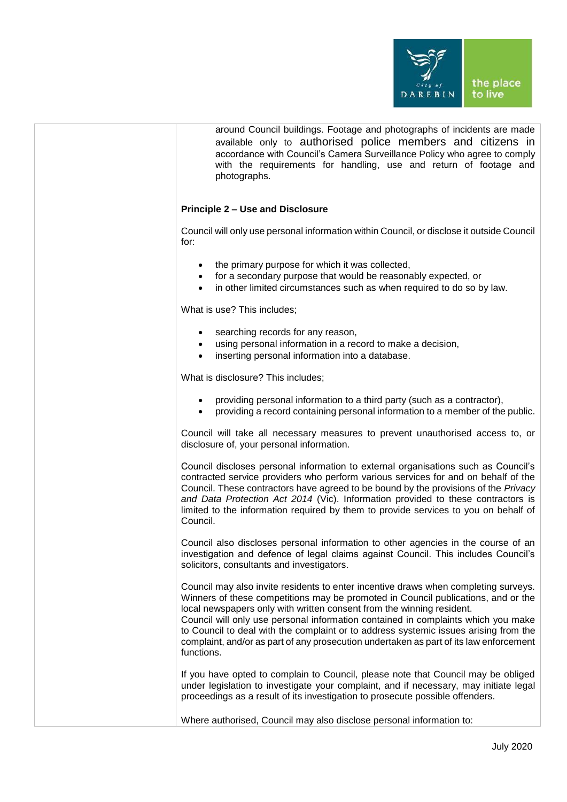

| around Council buildings. Footage and photographs of incidents are made  |  |  |  |
|--------------------------------------------------------------------------|--|--|--|
| available only to authorised police members and citizens in              |  |  |  |
| accordance with Council's Camera Surveillance Policy who agree to comply |  |  |  |
| with the requirements for handling, use and return of footage and        |  |  |  |
| photographs.                                                             |  |  |  |

## **Principle 2 – Use and Disclosure**

Council will only use personal information within Council, or disclose it outside Council for:

- the primary purpose for which it was collected.
- for a secondary purpose that would be reasonably expected, or
- in other limited circumstances such as when required to do so by law.

What is use? This includes;

- searching records for any reason,
- using personal information in a record to make a decision,
- inserting personal information into a database.

What is disclosure? This includes;

- providing personal information to a third party (such as a contractor),
- providing a record containing personal information to a member of the public.

Council will take all necessary measures to prevent unauthorised access to, or disclosure of, your personal information.

Council discloses personal information to external organisations such as Council's contracted service providers who perform various services for and on behalf of the Council. These contractors have agreed to be bound by the provisions of the *Privacy and Data Protection Act 2014* (Vic). Information provided to these contractors is limited to the information required by them to provide services to you on behalf of Council.

Council also discloses personal information to other agencies in the course of an investigation and defence of legal claims against Council. This includes Council's solicitors, consultants and investigators.

Council may also invite residents to enter incentive draws when completing surveys. Winners of these competitions may be promoted in Council publications, and or the local newspapers only with written consent from the winning resident.

Council will only use personal information contained in complaints which you make to Council to deal with the complaint or to address systemic issues arising from the complaint, and/or as part of any prosecution undertaken as part of its law enforcement functions.

If you have opted to complain to Council, please note that Council may be obliged under legislation to investigate your complaint, and if necessary, may initiate legal proceedings as a result of its investigation to prosecute possible offenders.

Where authorised, Council may also disclose personal information to: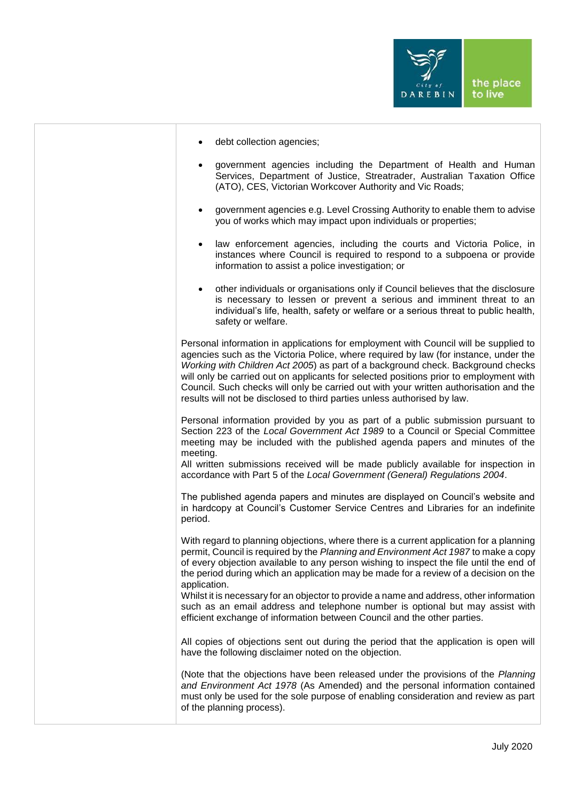

|  | debt collection agencies; |
|--|---------------------------|
|--|---------------------------|

- government agencies including the Department of Health and Human Services, Department of Justice, Streatrader, Australian Taxation Office (ATO), CES, Victorian Workcover Authority and Vic Roads;
- government agencies e.g. Level Crossing Authority to enable them to advise you of works which may impact upon individuals or properties;
- law enforcement agencies, including the courts and Victoria Police, in instances where Council is required to respond to a subpoena or provide information to assist a police investigation; or
- other individuals or organisations only if Council believes that the disclosure is necessary to lessen or prevent a serious and imminent threat to an individual's life, health, safety or welfare or a serious threat to public health, safety or welfare.

Personal information in applications for employment with Council will be supplied to agencies such as the Victoria Police, where required by law (for instance, under the *Working with Children Act 2005*) as part of a background check. Background checks will only be carried out on applicants for selected positions prior to employment with Council. Such checks will only be carried out with your written authorisation and the results will not be disclosed to third parties unless authorised by law.

Personal information provided by you as part of a public submission pursuant to Section 223 of the *Local Government Act 1989* to a Council or Special Committee meeting may be included with the published agenda papers and minutes of the meeting.

All written submissions received will be made publicly available for inspection in accordance with Part 5 of the *Local Government (General) Regulations 2004*.

The published agenda papers and minutes are displayed on Council's website and in hardcopy at Council's Customer Service Centres and Libraries for an indefinite period.

With regard to planning objections, where there is a current application for a planning permit, Council is required by the *Planning and Environment Act 1987* to make a copy of every objection available to any person wishing to inspect the file until the end of the period during which an application may be made for a review of a decision on the application.

Whilst it is necessary for an objector to provide a name and address, other information such as an email address and telephone number is optional but may assist with efficient exchange of information between Council and the other parties.

All copies of objections sent out during the period that the application is open will have the following disclaimer noted on the objection.

(Note that the objections have been released under the provisions of the *Planning and Environment Act 1978* (As Amended) and the personal information contained must only be used for the sole purpose of enabling consideration and review as part of the planning process).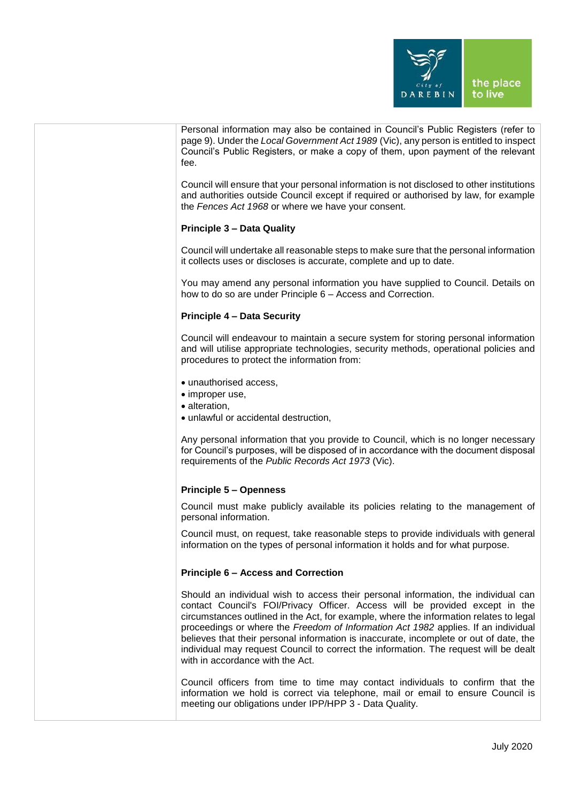

| Personal information may also be contained in Council's Public Registers (refer to<br>page 9). Under the Local Government Act 1989 (Vic), any person is entitled to inspect<br>Council's Public Registers, or make a copy of them, upon payment of the relevant<br>fee.                                                                                                                                                                                                                                                                                                  |
|--------------------------------------------------------------------------------------------------------------------------------------------------------------------------------------------------------------------------------------------------------------------------------------------------------------------------------------------------------------------------------------------------------------------------------------------------------------------------------------------------------------------------------------------------------------------------|
| Council will ensure that your personal information is not disclosed to other institutions<br>and authorities outside Council except if required or authorised by law, for example<br>the Fences Act 1968 or where we have your consent.                                                                                                                                                                                                                                                                                                                                  |
| <b>Principle 3 - Data Quality</b>                                                                                                                                                                                                                                                                                                                                                                                                                                                                                                                                        |
| Council will undertake all reasonable steps to make sure that the personal information<br>it collects uses or discloses is accurate, complete and up to date.                                                                                                                                                                                                                                                                                                                                                                                                            |
| You may amend any personal information you have supplied to Council. Details on<br>how to do so are under Principle 6 - Access and Correction.                                                                                                                                                                                                                                                                                                                                                                                                                           |
| <b>Principle 4 - Data Security</b>                                                                                                                                                                                                                                                                                                                                                                                                                                                                                                                                       |
| Council will endeavour to maintain a secure system for storing personal information<br>and will utilise appropriate technologies, security methods, operational policies and<br>procedures to protect the information from:                                                                                                                                                                                                                                                                                                                                              |
| • unauthorised access,<br>• improper use,                                                                                                                                                                                                                                                                                                                                                                                                                                                                                                                                |
| · alteration,                                                                                                                                                                                                                                                                                                                                                                                                                                                                                                                                                            |
| • unlawful or accidental destruction,                                                                                                                                                                                                                                                                                                                                                                                                                                                                                                                                    |
| Any personal information that you provide to Council, which is no longer necessary<br>for Council's purposes, will be disposed of in accordance with the document disposal<br>requirements of the Public Records Act 1973 (Vic).                                                                                                                                                                                                                                                                                                                                         |
| <b>Principle 5 - Openness</b>                                                                                                                                                                                                                                                                                                                                                                                                                                                                                                                                            |
| Council must make publicly available its policies relating to the management of<br>personal information.                                                                                                                                                                                                                                                                                                                                                                                                                                                                 |
| Council must, on request, take reasonable steps to provide individuals with general<br>information on the types of personal information it holds and for what purpose.                                                                                                                                                                                                                                                                                                                                                                                                   |
| <b>Principle 6 - Access and Correction</b>                                                                                                                                                                                                                                                                                                                                                                                                                                                                                                                               |
| Should an individual wish to access their personal information, the individual can<br>contact Council's FOI/Privacy Officer. Access will be provided except in the<br>circumstances outlined in the Act, for example, where the information relates to legal<br>proceedings or where the Freedom of Information Act 1982 applies. If an individual<br>believes that their personal information is inaccurate, incomplete or out of date, the<br>individual may request Council to correct the information. The request will be dealt<br>with in accordance with the Act. |
| Council officers from time to time may contact individuals to confirm that the<br>information we hold is correct via telephone, mail or email to ensure Council is<br>meeting our obligations under IPP/HPP 3 - Data Quality.                                                                                                                                                                                                                                                                                                                                            |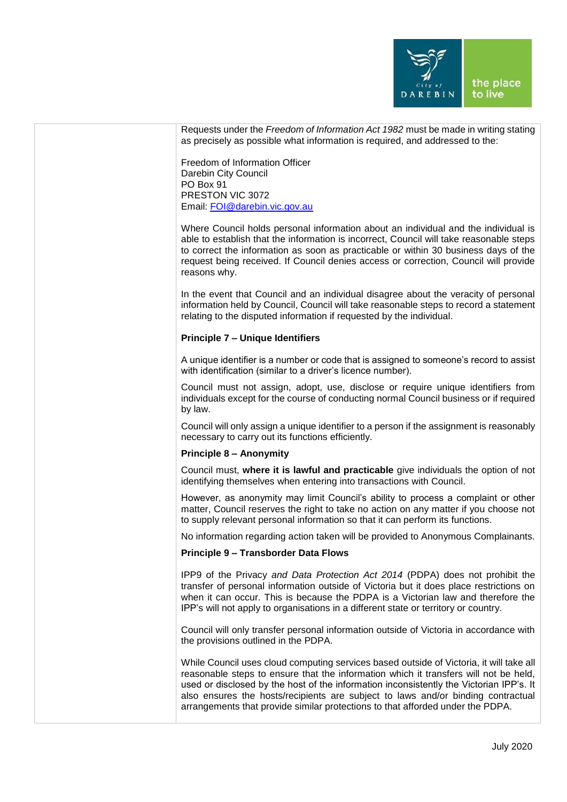

| Requests under the Freedom of Information Act 1982 must be made in writing stating<br>as precisely as possible what information is required, and addressed to the:<br>Freedom of Information Officer<br>Darebin City Council<br>PO Box 91<br>PRESTON VIC 3072<br>Email: FOI@darebin.vic.gov.au<br>Where Council holds personal information about an individual and the individual is<br>able to establish that the information is incorrect, Council will take reasonable steps<br>to correct the information as soon as practicable or within 30 business days of the<br>request being received. If Council denies access or correction, Council will provide<br>reasons why.<br>In the event that Council and an individual disagree about the veracity of personal<br>information held by Council, Council will take reasonable steps to record a statement<br>relating to the disputed information if requested by the individual.<br><b>Principle 7 - Unique Identifiers</b><br>A unique identifier is a number or code that is assigned to someone's record to assist<br>with identification (similar to a driver's licence number).<br>Council must not assign, adopt, use, disclose or require unique identifiers from<br>individuals except for the course of conducting normal Council business or if required<br>by law.<br>Council will only assign a unique identifier to a person if the assignment is reasonably<br>necessary to carry out its functions efficiently.<br><b>Principle 8 - Anonymity</b><br>Council must, where it is lawful and practicable give individuals the option of not<br>identifying themselves when entering into transactions with Council.<br>However, as anonymity may limit Council's ability to process a complaint or other<br>matter, Council reserves the right to take no action on any matter if you choose not<br>to supply relevant personal information so that it can perform its functions.<br>No information regarding action taken will be provided to Anonymous Complainants.<br><b>Principle 9 - Transborder Data Flows</b><br>IPP9 of the Privacy and Data Protection Act 2014 (PDPA) does not prohibit the<br>transfer of personal information outside of Victoria but it does place restrictions on<br>when it can occur. This is because the PDPA is a Victorian law and therefore the<br>IPP's will not apply to organisations in a different state or territory or country.<br>Council will only transfer personal information outside of Victoria in accordance with<br>the provisions outlined in the PDPA.<br>While Council uses cloud computing services based outside of Victoria, it will take all<br>reasonable steps to ensure that the information which it transfers will not be held,<br>used or disclosed by the host of the information inconsistently the Victorian IPP's. It<br>also ensures the hosts/recipients are subject to laws and/or binding contractual<br>arrangements that provide similar protections to that afforded under the PDPA. |  |
|-------------------------------------------------------------------------------------------------------------------------------------------------------------------------------------------------------------------------------------------------------------------------------------------------------------------------------------------------------------------------------------------------------------------------------------------------------------------------------------------------------------------------------------------------------------------------------------------------------------------------------------------------------------------------------------------------------------------------------------------------------------------------------------------------------------------------------------------------------------------------------------------------------------------------------------------------------------------------------------------------------------------------------------------------------------------------------------------------------------------------------------------------------------------------------------------------------------------------------------------------------------------------------------------------------------------------------------------------------------------------------------------------------------------------------------------------------------------------------------------------------------------------------------------------------------------------------------------------------------------------------------------------------------------------------------------------------------------------------------------------------------------------------------------------------------------------------------------------------------------------------------------------------------------------------------------------------------------------------------------------------------------------------------------------------------------------------------------------------------------------------------------------------------------------------------------------------------------------------------------------------------------------------------------------------------------------------------------------------------------------------------------------------------------------------------------------------------------------------------------------------------------------------------------------------------------------------------------------------------------------------------------------------------------------------------------------------------------------------------------------------------------------------------------------------------------------------------------------------------------------------------------------------------------------------------------------------------------------------------------------------------------------------------|--|
|                                                                                                                                                                                                                                                                                                                                                                                                                                                                                                                                                                                                                                                                                                                                                                                                                                                                                                                                                                                                                                                                                                                                                                                                                                                                                                                                                                                                                                                                                                                                                                                                                                                                                                                                                                                                                                                                                                                                                                                                                                                                                                                                                                                                                                                                                                                                                                                                                                                                                                                                                                                                                                                                                                                                                                                                                                                                                                                                                                                                                                     |  |
|                                                                                                                                                                                                                                                                                                                                                                                                                                                                                                                                                                                                                                                                                                                                                                                                                                                                                                                                                                                                                                                                                                                                                                                                                                                                                                                                                                                                                                                                                                                                                                                                                                                                                                                                                                                                                                                                                                                                                                                                                                                                                                                                                                                                                                                                                                                                                                                                                                                                                                                                                                                                                                                                                                                                                                                                                                                                                                                                                                                                                                     |  |
|                                                                                                                                                                                                                                                                                                                                                                                                                                                                                                                                                                                                                                                                                                                                                                                                                                                                                                                                                                                                                                                                                                                                                                                                                                                                                                                                                                                                                                                                                                                                                                                                                                                                                                                                                                                                                                                                                                                                                                                                                                                                                                                                                                                                                                                                                                                                                                                                                                                                                                                                                                                                                                                                                                                                                                                                                                                                                                                                                                                                                                     |  |
|                                                                                                                                                                                                                                                                                                                                                                                                                                                                                                                                                                                                                                                                                                                                                                                                                                                                                                                                                                                                                                                                                                                                                                                                                                                                                                                                                                                                                                                                                                                                                                                                                                                                                                                                                                                                                                                                                                                                                                                                                                                                                                                                                                                                                                                                                                                                                                                                                                                                                                                                                                                                                                                                                                                                                                                                                                                                                                                                                                                                                                     |  |
|                                                                                                                                                                                                                                                                                                                                                                                                                                                                                                                                                                                                                                                                                                                                                                                                                                                                                                                                                                                                                                                                                                                                                                                                                                                                                                                                                                                                                                                                                                                                                                                                                                                                                                                                                                                                                                                                                                                                                                                                                                                                                                                                                                                                                                                                                                                                                                                                                                                                                                                                                                                                                                                                                                                                                                                                                                                                                                                                                                                                                                     |  |
|                                                                                                                                                                                                                                                                                                                                                                                                                                                                                                                                                                                                                                                                                                                                                                                                                                                                                                                                                                                                                                                                                                                                                                                                                                                                                                                                                                                                                                                                                                                                                                                                                                                                                                                                                                                                                                                                                                                                                                                                                                                                                                                                                                                                                                                                                                                                                                                                                                                                                                                                                                                                                                                                                                                                                                                                                                                                                                                                                                                                                                     |  |
|                                                                                                                                                                                                                                                                                                                                                                                                                                                                                                                                                                                                                                                                                                                                                                                                                                                                                                                                                                                                                                                                                                                                                                                                                                                                                                                                                                                                                                                                                                                                                                                                                                                                                                                                                                                                                                                                                                                                                                                                                                                                                                                                                                                                                                                                                                                                                                                                                                                                                                                                                                                                                                                                                                                                                                                                                                                                                                                                                                                                                                     |  |
|                                                                                                                                                                                                                                                                                                                                                                                                                                                                                                                                                                                                                                                                                                                                                                                                                                                                                                                                                                                                                                                                                                                                                                                                                                                                                                                                                                                                                                                                                                                                                                                                                                                                                                                                                                                                                                                                                                                                                                                                                                                                                                                                                                                                                                                                                                                                                                                                                                                                                                                                                                                                                                                                                                                                                                                                                                                                                                                                                                                                                                     |  |
|                                                                                                                                                                                                                                                                                                                                                                                                                                                                                                                                                                                                                                                                                                                                                                                                                                                                                                                                                                                                                                                                                                                                                                                                                                                                                                                                                                                                                                                                                                                                                                                                                                                                                                                                                                                                                                                                                                                                                                                                                                                                                                                                                                                                                                                                                                                                                                                                                                                                                                                                                                                                                                                                                                                                                                                                                                                                                                                                                                                                                                     |  |
|                                                                                                                                                                                                                                                                                                                                                                                                                                                                                                                                                                                                                                                                                                                                                                                                                                                                                                                                                                                                                                                                                                                                                                                                                                                                                                                                                                                                                                                                                                                                                                                                                                                                                                                                                                                                                                                                                                                                                                                                                                                                                                                                                                                                                                                                                                                                                                                                                                                                                                                                                                                                                                                                                                                                                                                                                                                                                                                                                                                                                                     |  |
|                                                                                                                                                                                                                                                                                                                                                                                                                                                                                                                                                                                                                                                                                                                                                                                                                                                                                                                                                                                                                                                                                                                                                                                                                                                                                                                                                                                                                                                                                                                                                                                                                                                                                                                                                                                                                                                                                                                                                                                                                                                                                                                                                                                                                                                                                                                                                                                                                                                                                                                                                                                                                                                                                                                                                                                                                                                                                                                                                                                                                                     |  |
|                                                                                                                                                                                                                                                                                                                                                                                                                                                                                                                                                                                                                                                                                                                                                                                                                                                                                                                                                                                                                                                                                                                                                                                                                                                                                                                                                                                                                                                                                                                                                                                                                                                                                                                                                                                                                                                                                                                                                                                                                                                                                                                                                                                                                                                                                                                                                                                                                                                                                                                                                                                                                                                                                                                                                                                                                                                                                                                                                                                                                                     |  |
|                                                                                                                                                                                                                                                                                                                                                                                                                                                                                                                                                                                                                                                                                                                                                                                                                                                                                                                                                                                                                                                                                                                                                                                                                                                                                                                                                                                                                                                                                                                                                                                                                                                                                                                                                                                                                                                                                                                                                                                                                                                                                                                                                                                                                                                                                                                                                                                                                                                                                                                                                                                                                                                                                                                                                                                                                                                                                                                                                                                                                                     |  |
|                                                                                                                                                                                                                                                                                                                                                                                                                                                                                                                                                                                                                                                                                                                                                                                                                                                                                                                                                                                                                                                                                                                                                                                                                                                                                                                                                                                                                                                                                                                                                                                                                                                                                                                                                                                                                                                                                                                                                                                                                                                                                                                                                                                                                                                                                                                                                                                                                                                                                                                                                                                                                                                                                                                                                                                                                                                                                                                                                                                                                                     |  |
|                                                                                                                                                                                                                                                                                                                                                                                                                                                                                                                                                                                                                                                                                                                                                                                                                                                                                                                                                                                                                                                                                                                                                                                                                                                                                                                                                                                                                                                                                                                                                                                                                                                                                                                                                                                                                                                                                                                                                                                                                                                                                                                                                                                                                                                                                                                                                                                                                                                                                                                                                                                                                                                                                                                                                                                                                                                                                                                                                                                                                                     |  |
|                                                                                                                                                                                                                                                                                                                                                                                                                                                                                                                                                                                                                                                                                                                                                                                                                                                                                                                                                                                                                                                                                                                                                                                                                                                                                                                                                                                                                                                                                                                                                                                                                                                                                                                                                                                                                                                                                                                                                                                                                                                                                                                                                                                                                                                                                                                                                                                                                                                                                                                                                                                                                                                                                                                                                                                                                                                                                                                                                                                                                                     |  |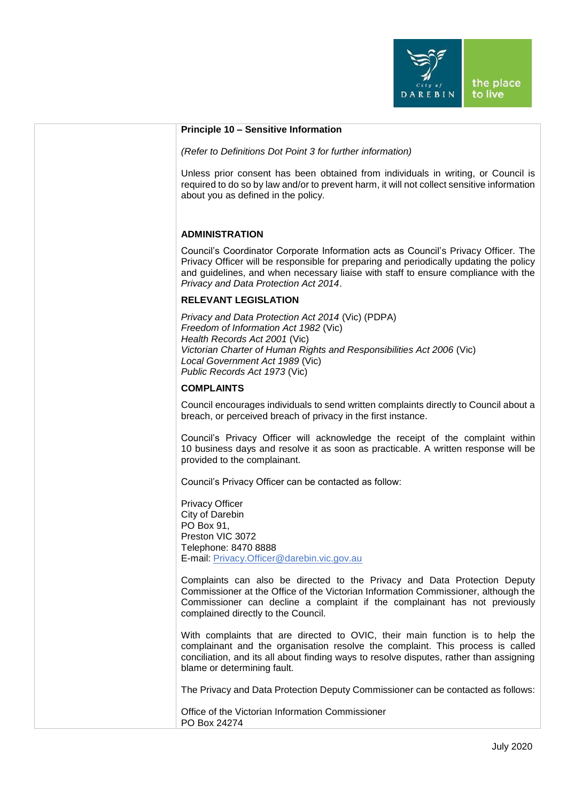

| Principle 10 - Sensitive Information                                                                                                                                                                                                                                                                        |
|-------------------------------------------------------------------------------------------------------------------------------------------------------------------------------------------------------------------------------------------------------------------------------------------------------------|
|                                                                                                                                                                                                                                                                                                             |
| (Refer to Definitions Dot Point 3 for further information)                                                                                                                                                                                                                                                  |
| Unless prior consent has been obtained from individuals in writing, or Council is<br>required to do so by law and/or to prevent harm, it will not collect sensitive information<br>about you as defined in the policy.                                                                                      |
| <b>ADMINISTRATION</b>                                                                                                                                                                                                                                                                                       |
| Council's Coordinator Corporate Information acts as Council's Privacy Officer. The<br>Privacy Officer will be responsible for preparing and periodically updating the policy<br>and guidelines, and when necessary liaise with staff to ensure compliance with the<br>Privacy and Data Protection Act 2014. |
| <b>RELEVANT LEGISLATION</b>                                                                                                                                                                                                                                                                                 |
| Privacy and Data Protection Act 2014 (Vic) (PDPA)<br>Freedom of Information Act 1982 (Vic)<br>Health Records Act 2001 (Vic)<br>Victorian Charter of Human Rights and Responsibilities Act 2006 (Vic)<br>Local Government Act 1989 (Vic)<br>Public Records Act 1973 (Vic)                                    |
| <b>COMPLAINTS</b>                                                                                                                                                                                                                                                                                           |
| Council encourages individuals to send written complaints directly to Council about a<br>breach, or perceived breach of privacy in the first instance.                                                                                                                                                      |
| Council's Privacy Officer will acknowledge the receipt of the complaint within<br>10 business days and resolve it as soon as practicable. A written response will be<br>provided to the complainant.                                                                                                        |
| Council's Privacy Officer can be contacted as follow:                                                                                                                                                                                                                                                       |
| <b>Privacy Officer</b><br>City of Darebin<br>PO Box 91,<br>Preston VIC 3072<br>Telephone: 8470 8888<br>E-mail: Privacy.Officer@darebin.vic.gov.au                                                                                                                                                           |
| Complaints can also be directed to the Privacy and Data Protection Deputy<br>Commissioner at the Office of the Victorian Information Commissioner, although the<br>Commissioner can decline a complaint if the complainant has not previously<br>complained directly to the Council.                        |
| With complaints that are directed to OVIC, their main function is to help the<br>complainant and the organisation resolve the complaint. This process is called<br>conciliation, and its all about finding ways to resolve disputes, rather than assigning<br>blame or determining fault.                   |
| The Privacy and Data Protection Deputy Commissioner can be contacted as follows:                                                                                                                                                                                                                            |
| Office of the Victorian Information Commissioner<br>PO Box 24274                                                                                                                                                                                                                                            |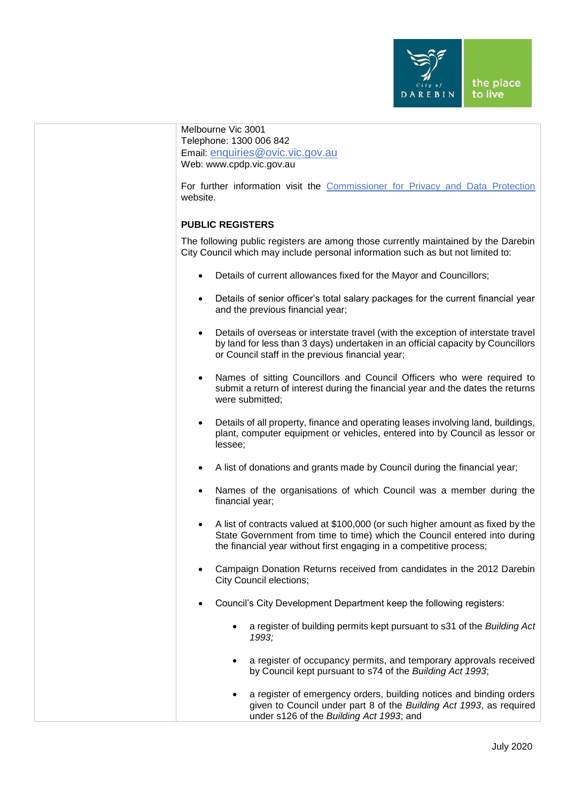

| Melbourne Vic 3001<br>Telephone: 1300 006 842<br>Email: enquiries@ovic.vic.gov.au<br>Web: www.cpdp.vic.gov.au                                                                                                                                   |  |
|-------------------------------------------------------------------------------------------------------------------------------------------------------------------------------------------------------------------------------------------------|--|
| For further information visit the Commissioner for Privacy and Data Protection<br>website.                                                                                                                                                      |  |
| <b>PUBLIC REGISTERS</b>                                                                                                                                                                                                                         |  |
| The following public registers are among those currently maintained by the Darebin<br>City Council which may include personal information such as but not limited to:                                                                           |  |
| Details of current allowances fixed for the Mayor and Councillors;                                                                                                                                                                              |  |
| Details of senior officer's total salary packages for the current financial year<br>$\bullet$<br>and the previous financial year;                                                                                                               |  |
| Details of overseas or interstate travel (with the exception of interstate travel<br>$\bullet$<br>by land for less than 3 days) undertaken in an official capacity by Councillors<br>or Council staff in the previous financial year;           |  |
| Names of sitting Councillors and Council Officers who were required to<br>$\bullet$<br>submit a return of interest during the financial year and the dates the returns<br>were submitted;                                                       |  |
| Details of all property, finance and operating leases involving land, buildings,<br>$\bullet$<br>plant, computer equipment or vehicles, entered into by Council as lessor or<br>lessee;                                                         |  |
| A list of donations and grants made by Council during the financial year;<br>$\bullet$                                                                                                                                                          |  |
| Names of the organisations of which Council was a member during the<br>$\bullet$<br>financial year;                                                                                                                                             |  |
| A list of contracts valued at \$100,000 (or such higher amount as fixed by the<br>$\bullet$<br>State Government from time to time) which the Council entered into during<br>the financial year without first engaging in a competitive process; |  |
| Campaign Donation Returns received from candidates in the 2012 Darebin<br><b>City Council elections;</b>                                                                                                                                        |  |
| Council's City Development Department keep the following registers:                                                                                                                                                                             |  |
| a register of building permits kept pursuant to s31 of the Building Act<br>$\bullet$<br>1993;                                                                                                                                                   |  |
| a register of occupancy permits, and temporary approvals received<br>$\bullet$<br>by Council kept pursuant to s74 of the Building Act 1993;                                                                                                     |  |
| a register of emergency orders, building notices and binding orders<br>given to Council under part 8 of the Building Act 1993, as required<br>under s126 of the Building Act 1993; and                                                          |  |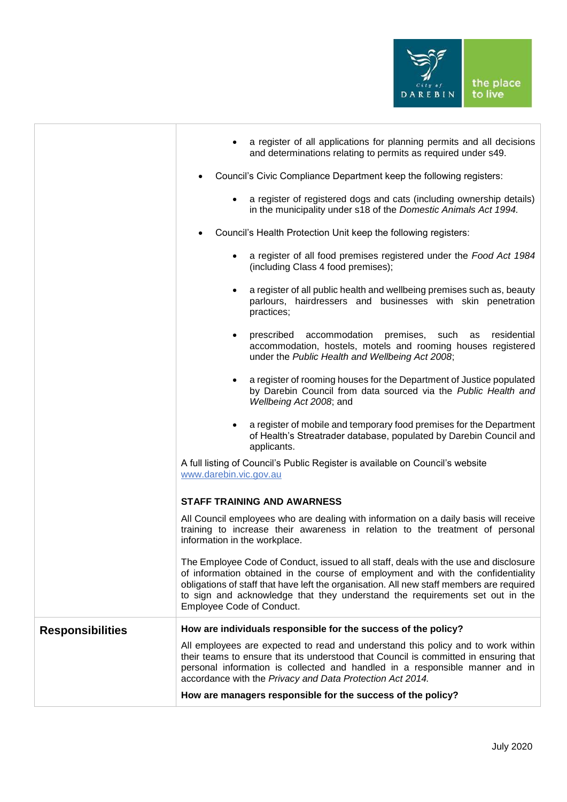

|                         | a register of all applications for planning permits and all decisions<br>and determinations relating to permits as required under s49.                                                                                                                                                                                                                                            |  |  |
|-------------------------|-----------------------------------------------------------------------------------------------------------------------------------------------------------------------------------------------------------------------------------------------------------------------------------------------------------------------------------------------------------------------------------|--|--|
|                         | Council's Civic Compliance Department keep the following registers:                                                                                                                                                                                                                                                                                                               |  |  |
|                         | a register of registered dogs and cats (including ownership details)<br>in the municipality under s18 of the Domestic Animals Act 1994.                                                                                                                                                                                                                                           |  |  |
|                         | Council's Health Protection Unit keep the following registers:                                                                                                                                                                                                                                                                                                                    |  |  |
|                         | a register of all food premises registered under the Food Act 1984<br>$\bullet$<br>(including Class 4 food premises);                                                                                                                                                                                                                                                             |  |  |
|                         | a register of all public health and wellbeing premises such as, beauty<br>$\bullet$<br>parlours, hairdressers and businesses with skin penetration<br>practices;                                                                                                                                                                                                                  |  |  |
|                         | accommodation premises, such<br>residential<br>prescribed<br>as<br>$\bullet$<br>accommodation, hostels, motels and rooming houses registered<br>under the Public Health and Wellbeing Act 2008;                                                                                                                                                                                   |  |  |
|                         | a register of rooming houses for the Department of Justice populated<br>$\bullet$<br>by Darebin Council from data sourced via the Public Health and<br>Wellbeing Act 2008; and                                                                                                                                                                                                    |  |  |
|                         | a register of mobile and temporary food premises for the Department<br>$\bullet$<br>of Health's Streatrader database, populated by Darebin Council and<br>applicants.                                                                                                                                                                                                             |  |  |
|                         | A full listing of Council's Public Register is available on Council's website<br>www.darebin.vic.gov.au                                                                                                                                                                                                                                                                           |  |  |
|                         | <b>STAFF TRAINING AND AWARNESS</b>                                                                                                                                                                                                                                                                                                                                                |  |  |
|                         | All Council employees who are dealing with information on a daily basis will receive<br>training to increase their awareness in relation to the treatment of personal<br>information in the workplace.                                                                                                                                                                            |  |  |
|                         | The Employee Code of Conduct, issued to all staff, deals with the use and disclosure<br>of information obtained in the course of employment and with the confidentiality<br>obligations of staff that have left the organisation. All new staff members are required<br>to sign and acknowledge that they understand the requirements set out in the<br>Employee Code of Conduct. |  |  |
| <b>Responsibilities</b> | How are individuals responsible for the success of the policy?                                                                                                                                                                                                                                                                                                                    |  |  |
|                         | All employees are expected to read and understand this policy and to work within<br>their teams to ensure that its understood that Council is committed in ensuring that<br>personal information is collected and handled in a responsible manner and in<br>accordance with the Privacy and Data Protection Act 2014.                                                             |  |  |
|                         | How are managers responsible for the success of the policy?                                                                                                                                                                                                                                                                                                                       |  |  |
|                         |                                                                                                                                                                                                                                                                                                                                                                                   |  |  |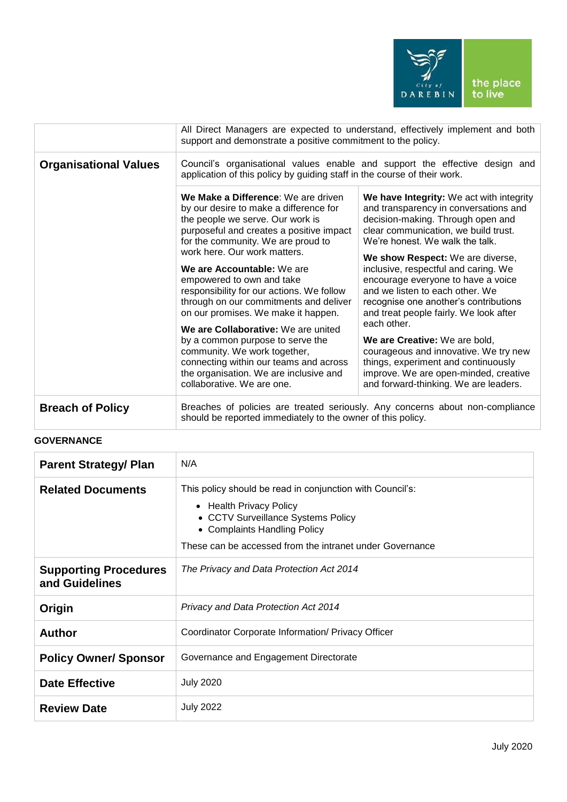

|                              | All Direct Managers are expected to understand, effectively implement and both                                                                                                                                                                                                                                                                                                                                                                                      |                                                                                                                                                                                                                                                                                                                                                                                                                                                          |
|------------------------------|---------------------------------------------------------------------------------------------------------------------------------------------------------------------------------------------------------------------------------------------------------------------------------------------------------------------------------------------------------------------------------------------------------------------------------------------------------------------|----------------------------------------------------------------------------------------------------------------------------------------------------------------------------------------------------------------------------------------------------------------------------------------------------------------------------------------------------------------------------------------------------------------------------------------------------------|
|                              | support and demonstrate a positive commitment to the policy.                                                                                                                                                                                                                                                                                                                                                                                                        |                                                                                                                                                                                                                                                                                                                                                                                                                                                          |
| <b>Organisational Values</b> | Council's organisational values enable and support the effective design and<br>application of this policy by guiding staff in the course of their work.                                                                                                                                                                                                                                                                                                             |                                                                                                                                                                                                                                                                                                                                                                                                                                                          |
|                              | We Make a Difference: We are driven<br>by our desire to make a difference for<br>the people we serve. Our work is<br>purposeful and creates a positive impact<br>for the community. We are proud to<br>work here. Our work matters.<br>We are Accountable: We are<br>empowered to own and take<br>responsibility for our actions. We follow<br>through on our commitments and deliver<br>on our promises. We make it happen.<br>We are Collaborative: We are united | We have Integrity: We act with integrity<br>and transparency in conversations and<br>decision-making. Through open and<br>clear communication, we build trust.<br>We're honest. We walk the talk.<br>We show Respect: We are diverse,<br>inclusive, respectful and caring. We<br>encourage everyone to have a voice<br>and we listen to each other. We<br>recognise one another's contributions<br>and treat people fairly. We look after<br>each other. |
|                              | by a common purpose to serve the<br>community. We work together,<br>connecting within our teams and across<br>the organisation. We are inclusive and<br>collaborative. We are one.                                                                                                                                                                                                                                                                                  | We are Creative: We are bold,<br>courageous and innovative. We try new<br>things, experiment and continuously<br>improve. We are open-minded, creative<br>and forward-thinking. We are leaders.                                                                                                                                                                                                                                                          |
| <b>Breach of Policy</b>      | Breaches of policies are treated seriously. Any concerns about non-compliance<br>should be reported immediately to the owner of this policy.                                                                                                                                                                                                                                                                                                                        |                                                                                                                                                                                                                                                                                                                                                                                                                                                          |

## **GOVERNANCE**

| <b>Parent Strategy/ Plan</b>                   | N/A                                                                                                                                                                                                                    |
|------------------------------------------------|------------------------------------------------------------------------------------------------------------------------------------------------------------------------------------------------------------------------|
| <b>Related Documents</b>                       | This policy should be read in conjunction with Council's:<br>• Health Privacy Policy<br>• CCTV Surveillance Systems Policy<br>• Complaints Handling Policy<br>These can be accessed from the intranet under Governance |
| <b>Supporting Procedures</b><br>and Guidelines | The Privacy and Data Protection Act 2014                                                                                                                                                                               |
| Origin                                         | <b>Privacy and Data Protection Act 2014</b>                                                                                                                                                                            |
| <b>Author</b>                                  | Coordinator Corporate Information/ Privacy Officer                                                                                                                                                                     |
| <b>Policy Owner/ Sponsor</b>                   | Governance and Engagement Directorate                                                                                                                                                                                  |
| <b>Date Effective</b>                          | <b>July 2020</b>                                                                                                                                                                                                       |
| <b>Review Date</b>                             | <b>July 2022</b>                                                                                                                                                                                                       |